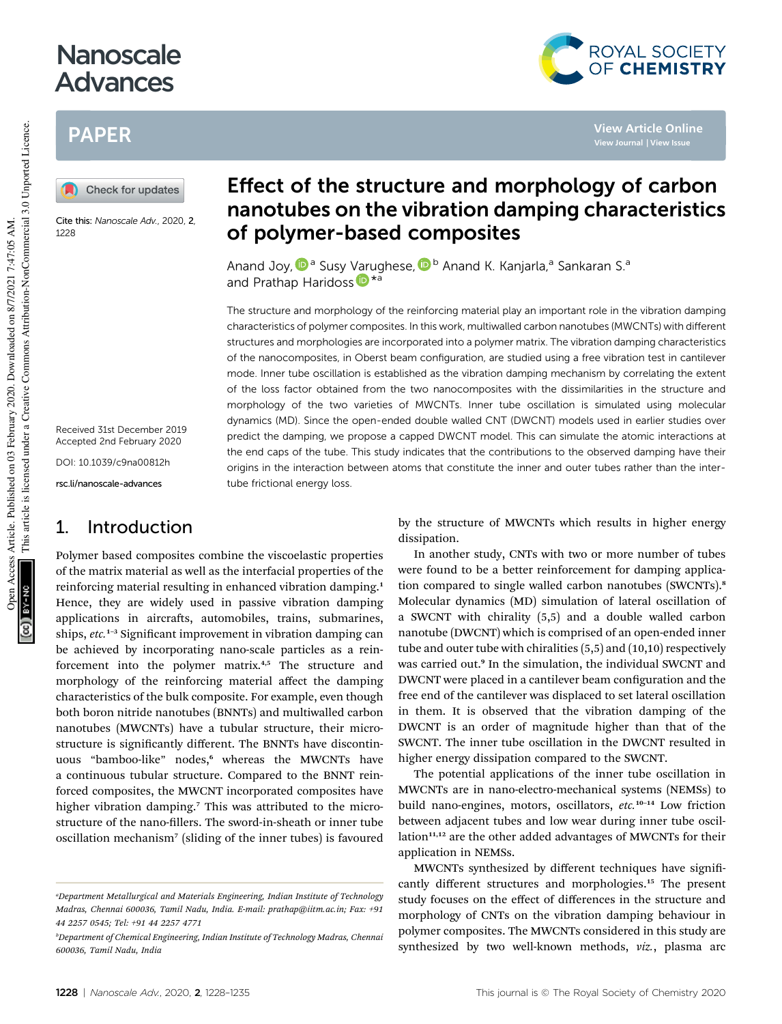# Nanoscale Advances

# PAPER

Check for updates

Cite this: Nanoscale Adv., 2020, 2, 1228

Received 31st December 2019 Accepted 2nd February 2020

DOI: 10.1039/c9na00812h

rsc.li/nanoscale-advances

## 1. Introduction

Polymer based composites combine the viscoelastic properties of the matrix material as well as the interfacial properties of the reinforcing material resulting in enhanced vibration damping.<sup>1</sup> Hence, they are widely used in passive vibration damping applications in aircrafts, automobiles, trains, submarines, ships, etc.<sup>1-3</sup> Significant improvement in vibration damping can be achieved by incorporating nano-scale particles as a reinforcement into the polymer matrix.<sup>4,5</sup> The structure and morphology of the reinforcing material affect the damping characteristics of the bulk composite. For example, even though both boron nitride nanotubes (BNNTs) and multiwalled carbon nanotubes (MWCNTs) have a tubular structure, their microstructure is significantly different. The BNNTs have discontinuous "bamboo-like" nodes,<sup>6</sup> whereas the MWCNTs have a continuous tubular structure. Compared to the BNNT reinforced composites, the MWCNT incorporated composites have higher vibration damping.<sup>7</sup> This was attributed to the microstructure of the nano-fillers. The sword-in-sheath or inner tube oscillation mechanism<sup>7</sup> (sliding of the inner tubes) is favoured

# Effect of the structure and morphology of carbon nanotubes on the vibration damping characteristics of polymer-based composites

Anand Joy, D<sup>a</sup> Susy Varughese, D<sup>b</sup> Anand K. Kanjarla,<sup>a</sup> Sankaran S.<sup>a</sup> and Prathap Haridoss<sup>D\*a</sup>

The structure and morphology of the reinforcing material play an important role in the vibration damping characteristics of polymer composites. In this work, multiwalled carbon nanotubes (MWCNTs) with different structures and morphologies are incorporated into a polymer matrix. The vibration damping characteristics of the nanocomposites, in Oberst beam configuration, are studied using a free vibration test in cantilever mode. Inner tube oscillation is established as the vibration damping mechanism by correlating the extent of the loss factor obtained from the two nanocomposites with the dissimilarities in the structure and morphology of the two varieties of MWCNTs. Inner tube oscillation is simulated using molecular dynamics (MD). Since the open-ended double walled CNT (DWCNT) models used in earlier studies over predict the damping, we propose a capped DWCNT model. This can simulate the atomic interactions at the end caps of the tube. This study indicates that the contributions to the observed damping have their origins in the interaction between atoms that constitute the inner and outer tubes rather than the intertube frictional energy loss.

> by the structure of MWCNTs which results in higher energy dissipation.

> In another study, CNTs with two or more number of tubes were found to be a better reinforcement for damping application compared to single walled carbon nanotubes (SWCNTs).<sup>8</sup> Molecular dynamics (MD) simulation of lateral oscillation of a SWCNT with chirality (5,5) and a double walled carbon nanotube (DWCNT) which is comprised of an open-ended inner tube and outer tube with chiralities (5,5) and (10,10) respectively was carried out.<sup>9</sup> In the simulation, the individual SWCNT and DWCNT were placed in a cantilever beam configuration and the free end of the cantilever was displaced to set lateral oscillation in them. It is observed that the vibration damping of the DWCNT is an order of magnitude higher than that of the SWCNT. The inner tube oscillation in the DWCNT resulted in higher energy dissipation compared to the SWCNT.

> The potential applications of the inner tube oscillation in MWCNTs are in nano-electro-mechanical systems (NEMSs) to build nano-engines, motors, oscillators, etc.<sup>10-14</sup> Low friction between adjacent tubes and low wear during inner tube oscillation<sup>11,12</sup> are the other added advantages of MWCNTs for their application in NEMSs.

> MWCNTs synthesized by different techniques have significantly different structures and morphologies.<sup>15</sup> The present study focuses on the effect of differences in the structure and morphology of CNTs on the vibration damping behaviour in polymer composites. The MWCNTs considered in this study are synthesized by two well-known methods, *viz.*, plasma arc



**View Article Online View Journal | View Issue**

*<sup>a</sup>Department Metallurgical and Materials Engineering, Indian Institute of Technology Madras, Chennai 600036, Tamil Nadu, India. E-mail: prathap@iitm.ac.in; Fax: +91 44 2257 0545; Tel: +91 44 2257 4771*

*<sup>b</sup>Department of Chemical Engineering, Indian Institute of Technology Madras, Chennai 600036, Tamil Nadu, India*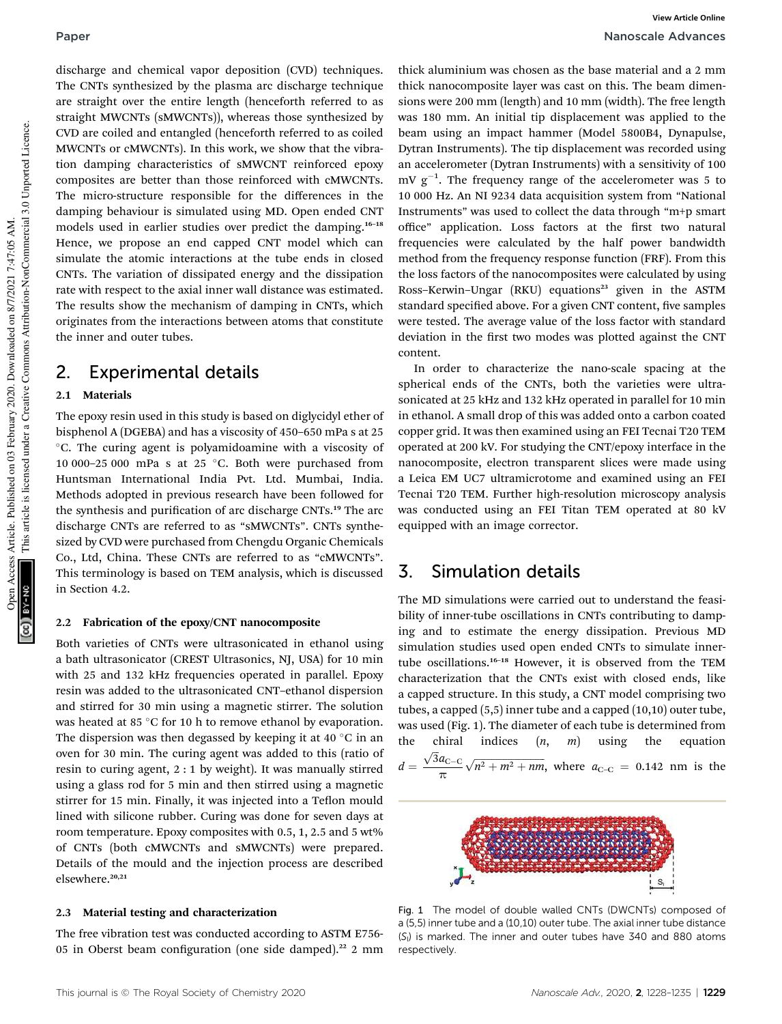discharge and chemical vapor deposition (CVD) techniques. The CNTs synthesized by the plasma arc discharge technique are straight over the entire length (henceforth referred to as straight MWCNTs (sMWCNTs)), whereas those synthesized by CVD are coiled and entangled (henceforth referred to as coiled MWCNTs or cMWCNTs). In this work, we show that the vibration damping characteristics of sMWCNT reinforced epoxy composites are better than those reinforced with cMWCNTs. The micro-structure responsible for the differences in the damping behaviour is simulated using MD. Open ended CNT models used in earlier studies over predict the damping.<sup>16–18</sup> Hence, we propose an end capped CNT model which can simulate the atomic interactions at the tube ends in closed CNTs. The variation of dissipated energy and the dissipation rate with respect to the axial inner wall distance was estimated. The results show the mechanism of damping in CNTs, which originates from the interactions between atoms that constitute the inner and outer tubes.

## 2. Experimental details

#### 2.1 Materials

The epoxy resin used in this study is based on diglycidyl ether of bisphenol A (DGEBA) and has a viscosity of 450–650 mPa s at 25 C. The curing agent is polyamidoamine with a viscosity of 10 000–25 000 mPa s at 25  $^{\circ}$ C. Both were purchased from Huntsman International India Pvt. Ltd. Mumbai, India. Methods adopted in previous research have been followed for the synthesis and purification of arc discharge CNTs.<sup>19</sup> The arc discharge CNTs are referred to as "sMWCNTs". CNTs synthesized by CVD were purchased from Chengdu Organic Chemicals Co., Ltd, China. These CNTs are referred to as "cMWCNTs". This terminology is based on TEM analysis, which is discussed in Section 4.2.

#### 2.2 Fabrication of the epoxy/CNT nanocomposite

Both varieties of CNTs were ultrasonicated in ethanol using a bath ultrasonicator (CREST Ultrasonics, NJ, USA) for 10 min with 25 and 132 kHz frequencies operated in parallel. Epoxy resin was added to the ultrasonicated CNT–ethanol dispersion and stirred for 30 min using a magnetic stirrer. The solution was heated at 85  $\degree$ C for 10 h to remove ethanol by evaporation. The dispersion was then degassed by keeping it at 40  $\degree$ C in an oven for 30 min. The curing agent was added to this (ratio of resin to curing agent, 2 : 1 by weight). It was manually stirred using a glass rod for 5 min and then stirred using a magnetic stirrer for 15 min. Finally, it was injected into a Teflon mould lined with silicone rubber. Curing was done for seven days at room temperature. Epoxy composites with 0.5, 1, 2.5 and 5 wt% of CNTs (both cMWCNTs and sMWCNTs) were prepared. Details of the mould and the injection process are described elsewhere.<sup>20,21</sup>

#### 2.3 Material testing and characterization

The free vibration test was conducted according to ASTM E756- 05 in Oberst beam configuration (one side damped).<sup>22</sup> 2 mm thick aluminium was chosen as the base material and a 2 mm thick nanocomposite layer was cast on this. The beam dimensions were 200 mm (length) and 10 mm (width). The free length was 180 mm. An initial tip displacement was applied to the beam using an impact hammer (Model 5800B4, Dynapulse, Dytran Instruments). The tip displacement was recorded using an accelerometer (Dytran Instruments) with a sensitivity of 100 mV  $g^{-1}$ . The frequency range of the accelerometer was 5 to 10 000 Hz. An NI 9234 data acquisition system from "National Instruments" was used to collect the data through "m+p smart office" application. Loss factors at the first two natural frequencies were calculated by the half power bandwidth method from the frequency response function (FRF). From this the loss factors of the nanocomposites were calculated by using Ross-Kerwin-Ungar (RKU) equations<sup>23</sup> given in the ASTM standard specified above. For a given CNT content, five samples were tested. The average value of the loss factor with standard deviation in the first two modes was plotted against the CNT content.

In order to characterize the nano-scale spacing at the spherical ends of the CNTs, both the varieties were ultrasonicated at 25 kHz and 132 kHz operated in parallel for 10 min in ethanol. A small drop of this was added onto a carbon coated copper grid. It was then examined using an FEI Tecnai T20 TEM operated at 200 kV. For studying the CNT/epoxy interface in the nanocomposite, electron transparent slices were made using a Leica EM UC7 ultramicrotome and examined using an FEI Tecnai T20 TEM. Further high-resolution microscopy analysis was conducted using an FEI Titan TEM operated at 80 kV equipped with an image corrector.

## 3. Simulation details

The MD simulations were carried out to understand the feasibility of inner-tube oscillations in CNTs contributing to damping and to estimate the energy dissipation. Previous MD simulation studies used open ended CNTs to simulate innertube oscillations.<sup>16</sup>–<sup>18</sup> However, it is observed from the TEM characterization that the CNTs exist with closed ends, like a capped structure. In this study, a CNT model comprising two tubes, a capped (5,5) inner tube and a capped (10,10) outer tube, was used (Fig. 1). The diameter of each tube is determined from the chiral indices (*n*, *m*) using the equation chiral  $\cdot$ ffiffiffiffiffiffiffiffiffiffiffiffiffiffiffiffiffiffiffiffiffiffiffiffiffiffiffiffiffi

$$
d = \frac{\sqrt{3}a_{\text{C}-\text{C}}}{\pi} \sqrt{n^2 + m^2 + nm}, \text{ where } a_{\text{C}-\text{C}} = 0.142 \text{ nm is the}
$$



Fig. 1 The model of double walled CNTs (DWCNTs) composed of a (5,5) inner tube and a (10,10) outer tube. The axial inner tube distance (S<sub>i</sub>) is marked. The inner and outer tubes have 340 and 880 atoms respectively.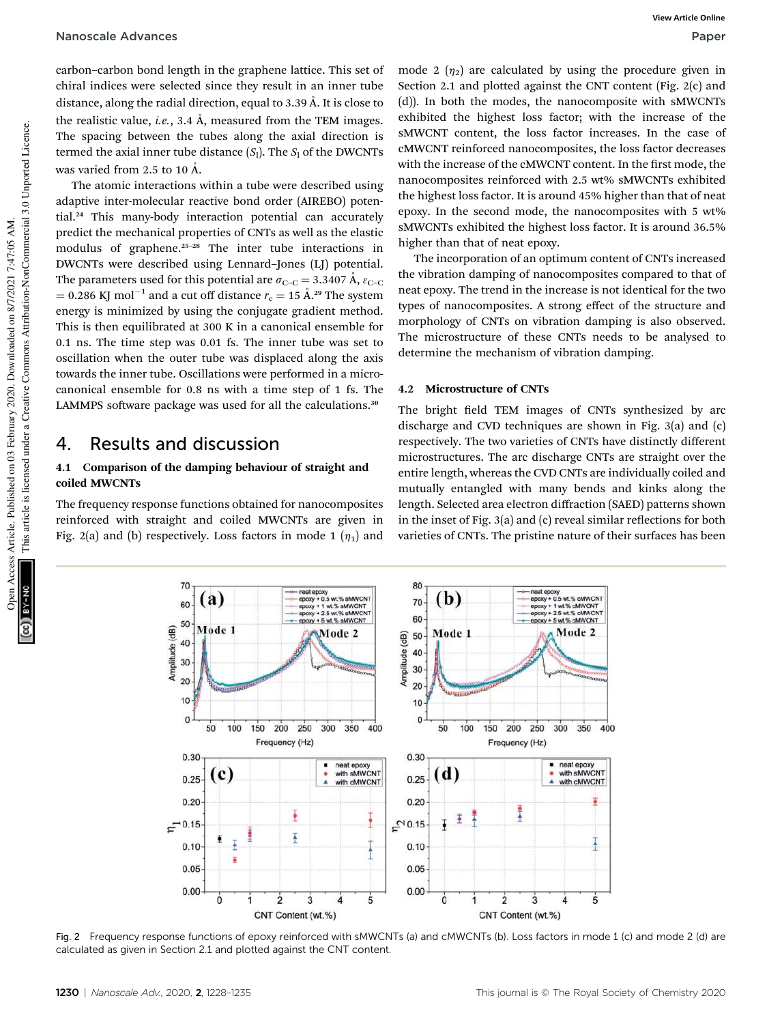carbon–carbon bond length in the graphene lattice. This set of chiral indices were selected since they result in an inner tube distance, along the radial direction, equal to 3.39 Å. It is close to the realistic value, *i.e.*,  $3.4 \text{ Å}$ , measured from the TEM images. The spacing between the tubes along the axial direction is termed the axial inner tube distance  $(S_1)$ . The  $S_1$  of the DWCNTs was varied from  $2.5$  to  $10 \text{ Å}$ .

The atomic interactions within a tube were described using adaptive inter-molecular reactive bond order (AIREBO) potential.<sup>24</sup> This many-body interaction potential can accurately predict the mechanical properties of CNTs as well as the elastic modulus of graphene.<sup>25-28</sup> The inter tube interactions in DWCNTs were described using Lennard–Jones (LJ) potential. The parameters used for this potential are  $\sigma_{C-C} = 3.3407 \text{ Å}, \varepsilon_{C-C}$  $= 0.286$  KJ mol<sup>-1</sup> and a cut off distance  $r_c = 15$  Å.<sup>29</sup> The system energy is minimized by using the conjugate gradient method. This is then equilibrated at 300 K in a canonical ensemble for 0.1 ns. The time step was 0.01 fs. The inner tube was set to oscillation when the outer tube was displaced along the axis towards the inner tube. Oscillations were performed in a microcanonical ensemble for 0.8 ns with a time step of 1 fs. The LAMMPS software package was used for all the calculations.<sup>30</sup>

## 4. Results and discussion

#### 4.1 Comparison of the damping behaviour of straight and coiled MWCNTs

The frequency response functions obtained for nanocomposites reinforced with straight and coiled MWCNTs are given in Fig. 2(a) and (b) respectively. Loss factors in mode 1  $(\eta_1)$  and mode 2  $(\eta_2)$  are calculated by using the procedure given in Section 2.1 and plotted against the CNT content (Fig. 2(c) and (d)). In both the modes, the nanocomposite with sMWCNTs exhibited the highest loss factor; with the increase of the sMWCNT content, the loss factor increases. In the case of cMWCNT reinforced nanocomposites, the loss factor decreases with the increase of the cMWCNT content. In the first mode, the nanocomposites reinforced with 2.5 wt% sMWCNTs exhibited the highest loss factor. It is around 45% higher than that of neat epoxy. In the second mode, the nanocomposites with 5 wt% sMWCNTs exhibited the highest loss factor. It is around 36.5% higher than that of neat epoxy.

The incorporation of an optimum content of CNTs increased the vibration damping of nanocomposites compared to that of neat epoxy. The trend in the increase is not identical for the two types of nanocomposites. A strong effect of the structure and morphology of CNTs on vibration damping is also observed. The microstructure of these CNTs needs to be analysed to determine the mechanism of vibration damping.

#### 4.2 Microstructure of CNTs

The bright field TEM images of CNTs synthesized by arc discharge and CVD techniques are shown in Fig. 3(a) and (c) respectively. The two varieties of CNTs have distinctly different microstructures. The arc discharge CNTs are straight over the entire length, whereas the CVD CNTs are individually coiled and mutually entangled with many bends and kinks along the length. Selected area electron diffraction (SAED) patterns shown in the inset of Fig.  $3(a)$  and (c) reveal similar reflections for both varieties of CNTs. The pristine nature of their surfaces has been



Fig. 2 Frequency response functions of epoxy reinforced with sMWCNTs (a) and cMWCNTs (b). Loss factors in mode 1 (c) and mode 2 (d) are calculated as given in Section 2.1 and plotted against the CNT content.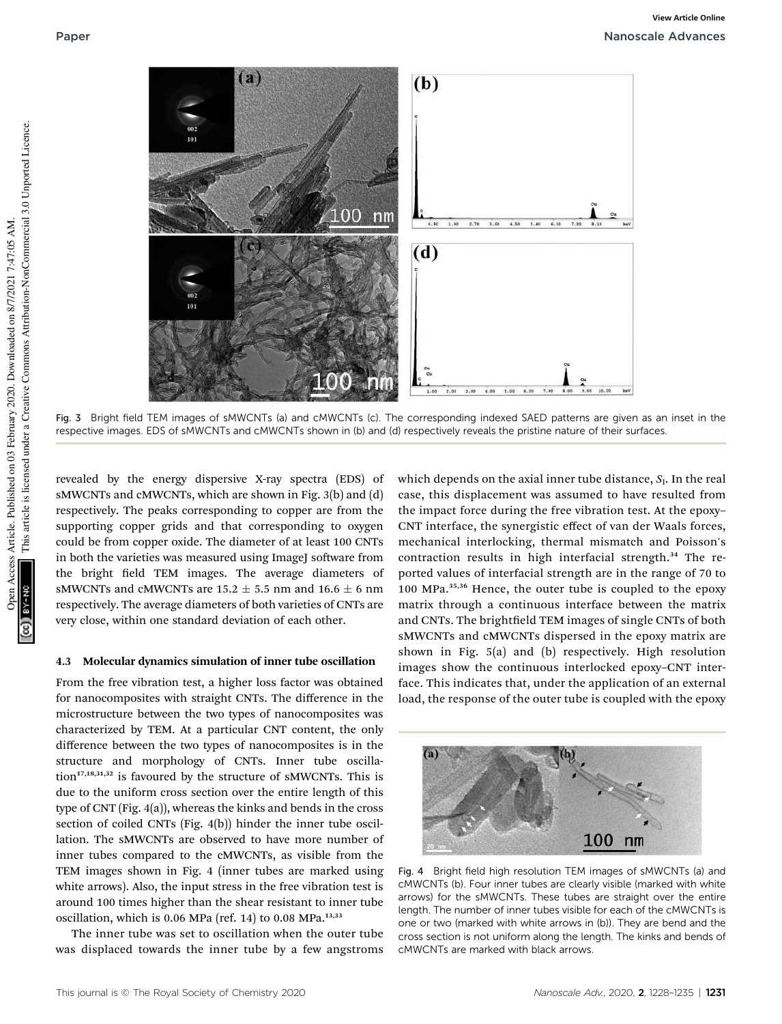

Fig. 3 Bright field TEM images of sMWCNTs (a) and cMWCNTs (c). The corresponding indexed SAED patterns are given as an inset in the respective images. EDS of sMWCNTs and cMWCNTs shown in (b) and (d) respectively reveals the pristine nature of their surfaces.

revealed by the energy dispersive X-ray spectra (EDS) of sMWCNTs and cMWCNTs, which are shown in Fig. 3(b) and (d) respectively. The peaks corresponding to copper are from the supporting copper grids and that corresponding to oxygen could be from copper oxide. The diameter of at least 100 CNTs in both the varieties was measured using ImageJ software from the bright field TEM images. The average diameters of sMWCNTs and cMWCNTs are 15.2  $\pm$  5.5 nm and 16.6  $\pm$  6 nm respectively. The average diameters of both varieties of CNTs are very close, within one standard deviation of each other.

#### 4.3 Molecular dynamics simulation of inner tube oscillation

From the free vibration test, a higher loss factor was obtained for nanocomposites with straight CNTs. The difference in the microstructure between the two types of nanocomposites was characterized by TEM. At a particular CNT content, the only difference between the two types of nanocomposites is in the structure and morphology of CNTs. Inner tube oscillation<sup>17,18,31,32</sup> is favoured by the structure of sMWCNTs. This is due to the uniform cross section over the entire length of this type of CNT (Fig. 4(a)), whereas the kinks and bends in the cross section of coiled CNTs (Fig. 4(b)) hinder the inner tube oscillation. The sMWCNTs are observed to have more number of inner tubes compared to the cMWCNTs, as visible from the TEM images shown in Fig. 4 (inner tubes are marked using white arrows). Also, the input stress in the free vibration test is around 100 times higher than the shear resistant to inner tube oscillation, which is 0.06 MPa (ref. 14) to 0.08 MPa.<sup>13,33</sup>

The inner tube was set to oscillation when the outer tube was displaced towards the inner tube by a few angstroms

which depends on the axial inner tube distance, *S*<sup>l</sup> . In the real case, this displacement was assumed to have resulted from the impact force during the free vibration test. At the epoxy– CNT interface, the synergistic effect of van der Waals forces, mechanical interlocking, thermal mismatch and Poisson's contraction results in high interfacial strength.<sup>34</sup> The reported values of interfacial strength are in the range of 70 to 100 MPa.35,36 Hence, the outer tube is coupled to the epoxy matrix through a continuous interface between the matrix and CNTs. The brightfield TEM images of single CNTs of both sMWCNTs and cMWCNTs dispersed in the epoxy matrix are shown in Fig. 5(a) and (b) respectively. High resolution images show the continuous interlocked epoxy–CNT interface. This indicates that, under the application of an external load, the response of the outer tube is coupled with the epoxy



Fig. 4 Bright field high resolution TEM images of sMWCNTs (a) and cMWCNTs (b). Four inner tubes are clearly visible (marked with white arrows) for the sMWCNTs. These tubes are straight over the entire length. The number of inner tubes visible for each of the cMWCNTs is one or two (marked with white arrows in (b)). They are bend and the cross section is not uniform along the length. The kinks and bends of cMWCNTs are marked with black arrows.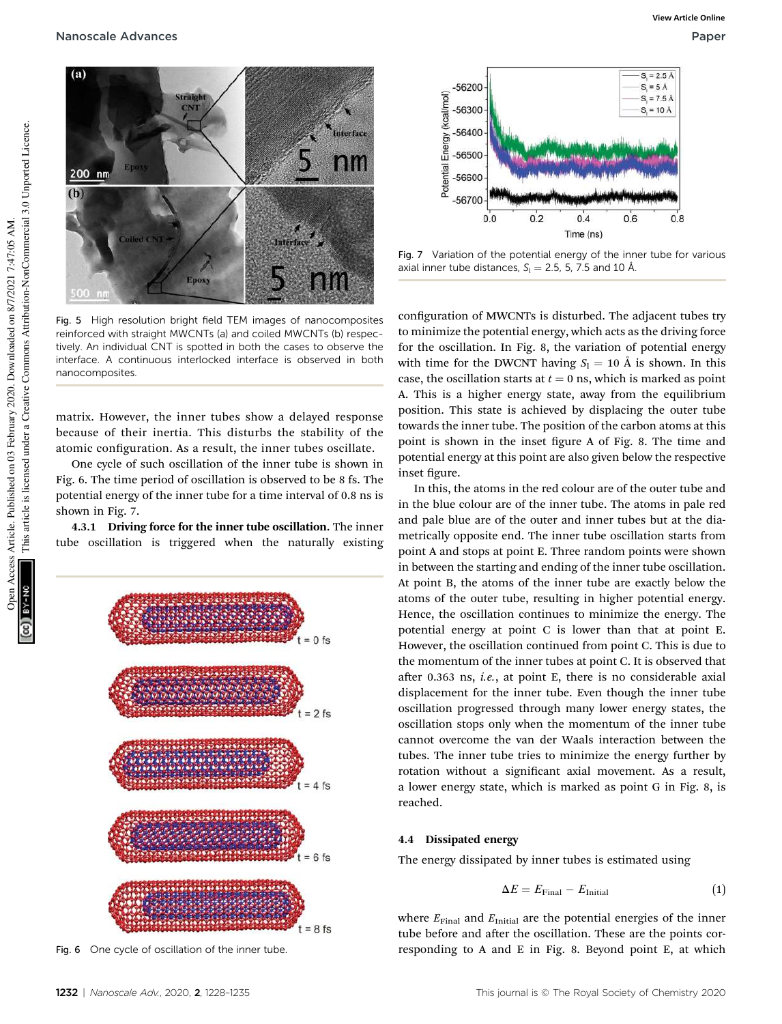

Fig. 5 High resolution bright field TEM images of nanocomposites reinforced with straight MWCNTs (a) and coiled MWCNTs (b) respectively. An individual CNT is spotted in both the cases to observe the interface. A continuous interlocked interface is observed in both nanocomposites.

matrix. However, the inner tubes show a delayed response because of their inertia. This disturbs the stability of the atomic configuration. As a result, the inner tubes oscillate.

One cycle of such oscillation of the inner tube is shown in Fig. 6. The time period of oscillation is observed to be 8 fs. The potential energy of the inner tube for a time interval of 0.8 ns is shown in Fig. 7.

4.3.1 Driving force for the inner tube oscillation. The inner tube oscillation is triggered when the naturally existing



Fig. 6 One cycle of oscillation of the inner tube.



Fig. 7 Variation of the potential energy of the inner tube for various axial inner tube distances,  $S_l = 2.5$ , 5, 7.5 and 10 Å.

configuration of MWCNTs is disturbed. The adjacent tubes try to minimize the potential energy, which acts as the driving force for the oscillation. In Fig. 8, the variation of potential energy with time for the DWCNT having  $S_1 = 10$  Å is shown. In this case, the oscillation starts at  $t = 0$  ns, which is marked as point A. This is a higher energy state, away from the equilibrium position. This state is achieved by displacing the outer tube towards the inner tube. The position of the carbon atoms at this point is shown in the inset figure A of Fig. 8. The time and potential energy at this point are also given below the respective inset figure.

In this, the atoms in the red colour are of the outer tube and in the blue colour are of the inner tube. The atoms in pale red and pale blue are of the outer and inner tubes but at the diametrically opposite end. The inner tube oscillation starts from point A and stops at point E. Three random points were shown in between the starting and ending of the inner tube oscillation. At point B, the atoms of the inner tube are exactly below the atoms of the outer tube, resulting in higher potential energy. Hence, the oscillation continues to minimize the energy. The potential energy at point C is lower than that at point E. However, the oscillation continued from point C. This is due to the momentum of the inner tubes at point C. It is observed that after 0.363 ns, *i.e.*, at point E, there is no considerable axial displacement for the inner tube. Even though the inner tube oscillation progressed through many lower energy states, the oscillation stops only when the momentum of the inner tube cannot overcome the van der Waals interaction between the tubes. The inner tube tries to minimize the energy further by rotation without a significant axial movement. As a result, a lower energy state, which is marked as point G in Fig. 8, is reached.

#### 4.4 Dissipated energy

The energy dissipated by inner tubes is estimated using

$$
\Delta E = E_{\text{Final}} - E_{\text{Initial}} \tag{1}
$$

where  $E_{\text{Final}}$  and  $E_{\text{Initial}}$  are the potential energies of the inner tube before and after the oscillation. These are the points corresponding to A and E in Fig. 8. Beyond point E, at which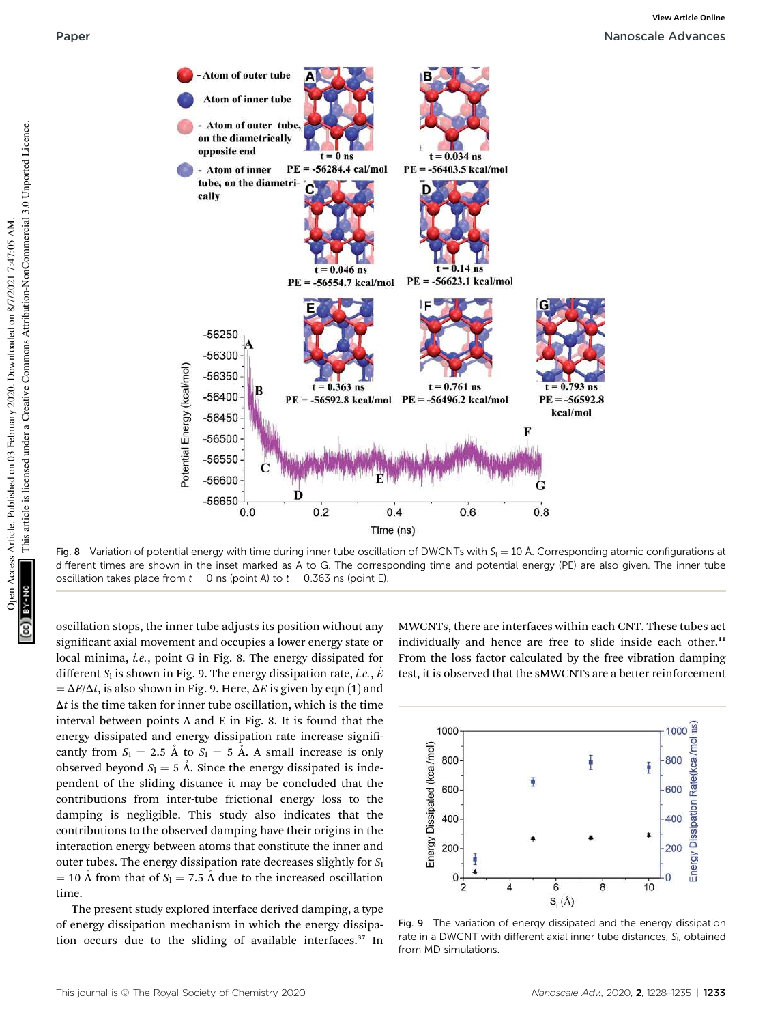

Fig. 8 Variation of potential energy with time during inner tube oscillation of DWCNTs with  $S_1 = 10 \text{ Å}$ . Corresponding atomic configurations at different times are shown in the inset marked as A to G. The corresponding time and potential energy (PE) are also given. The inner tube oscillation takes place from  $t = 0$  ns (point A) to  $t = 0.363$  ns (point E).

oscillation stops, the inner tube adjusts its position without any significant axial movement and occupies a lower energy state or local minima, *i.e.*, point G in Fig. 8. The energy dissipated for different *S*<sub>l</sub> is shown in Fig. 9. The energy dissipation rate, *i.e.*, *E*  $\Delta E/\Delta t$ , is also shown in Fig. 9. Here,  $\Delta E$  is given by eqn (1) and  $\Delta t$  is the time taken for inner tube oscillation, which is the time interval between points A and E in Fig. 8. It is found that the energy dissipated and energy dissipation rate increase significantly from  $S_1 = 2.5 \text{ Å}$  to  $S_1 = 5 \text{ Å}$ . A small increase is only observed beyond  $S_1 = 5$  Å. Since the energy dissipated is independent of the sliding distance it may be concluded that the contributions from inter-tube frictional energy loss to the damping is negligible. This study also indicates that the contributions to the observed damping have their origins in the interaction energy between atoms that constitute the inner and outer tubes. The energy dissipation rate decreases slightly for *S*<sup>l</sup>  $=$  10 Å from that of  $S_1 = 7.5$  Å due to the increased oscillation time.

The present study explored interface derived damping, a type of energy dissipation mechanism in which the energy dissipation occurs due to the sliding of available interfaces.<sup>37</sup> In MWCNTs, there are interfaces within each CNT. These tubes act individually and hence are free to slide inside each other.<sup>11</sup> From the loss factor calculated by the free vibration damping test, it is observed that the sMWCNTs are a better reinforcement



Fig. 9 The variation of energy dissipated and the energy dissipation rate in a DWCNT with different axial inner tube distances, S<sub>l</sub>, obtained from MD simulations.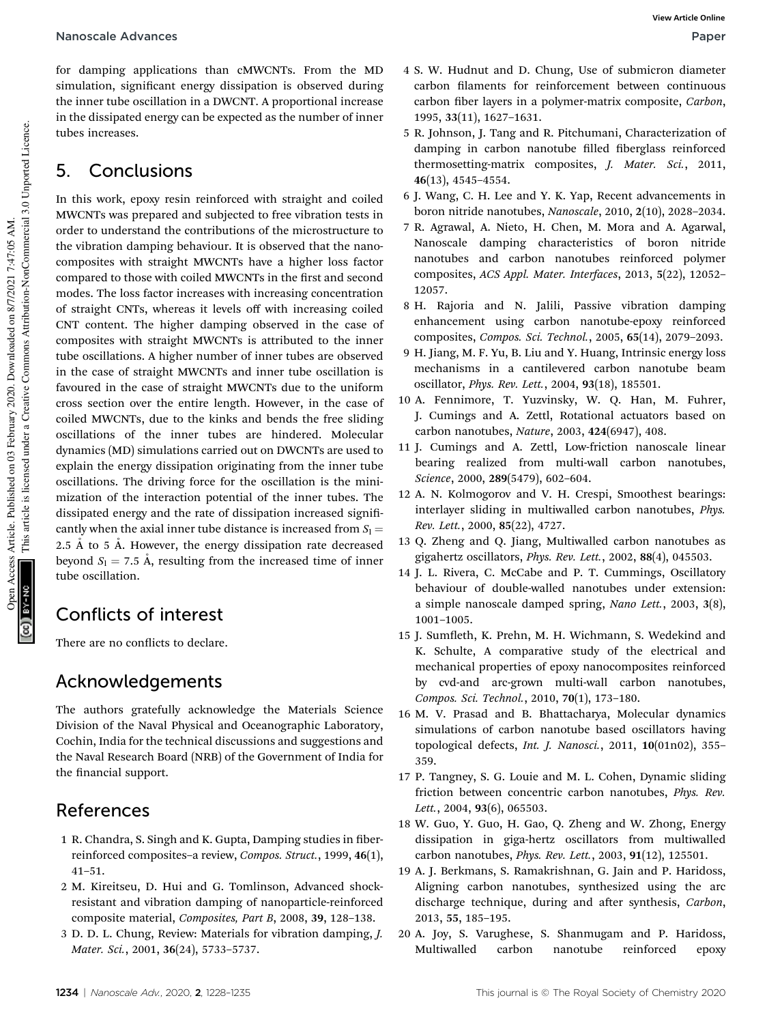for damping applications than cMWCNTs. From the MD simulation, significant energy dissipation is observed during the inner tube oscillation in a DWCNT. A proportional increase in the dissipated energy can be expected as the number of inner tubes increases.

## 5. Conclusions

In this work, epoxy resin reinforced with straight and coiled MWCNTs was prepared and subjected to free vibration tests in order to understand the contributions of the microstructure to the vibration damping behaviour. It is observed that the nanocomposites with straight MWCNTs have a higher loss factor compared to those with coiled MWCNTs in the first and second modes. The loss factor increases with increasing concentration of straight CNTs, whereas it levels off with increasing coiled CNT content. The higher damping observed in the case of composites with straight MWCNTs is attributed to the inner tube oscillations. A higher number of inner tubes are observed in the case of straight MWCNTs and inner tube oscillation is favoured in the case of straight MWCNTs due to the uniform cross section over the entire length. However, in the case of coiled MWCNTs, due to the kinks and bends the free sliding oscillations of the inner tubes are hindered. Molecular dynamics (MD) simulations carried out on DWCNTs are used to explain the energy dissipation originating from the inner tube oscillations. The driving force for the oscillation is the minimization of the interaction potential of the inner tubes. The dissipated energy and the rate of dissipation increased significantly when the axial inner tube distance is increased from  $S_1 =$ 2.5 Å to 5 Å. However, the energy dissipation rate decreased beyond  $S_1 = 7.5$  Å, resulting from the increased time of inner tube oscillation.

## Conflicts of interest

There are no conflicts to declare.

## Acknowledgements

The authors gratefully acknowledge the Materials Science Division of the Naval Physical and Oceanographic Laboratory, Cochin, India for the technical discussions and suggestions and the Naval Research Board (NRB) of the Government of India for the financial support.

## References

- 1 R. Chandra, S. Singh and K. Gupta, Damping studies in fiberreinforced composites–a review, *Compos. Struct.*, 1999, 46(1), 41–51.
- 2 M. Kireitseu, D. Hui and G. Tomlinson, Advanced shockresistant and vibration damping of nanoparticle-reinforced composite material, *Composites, Part B*, 2008, 39, 128–138.
- 3 D. D. L. Chung, Review: Materials for vibration damping, *J. Mater. Sci.*, 2001, 36(24), 5733–5737.
- 4 S. W. Hudnut and D. Chung, Use of submicron diameter carbon filaments for reinforcement between continuous carbon fiber layers in a polymer-matrix composite, *Carbon*, 1995, 33(11), 1627–1631.
- 5 R. Johnson, J. Tang and R. Pitchumani, Characterization of damping in carbon nanotube filled fiberglass reinforced thermosetting-matrix composites, *J. Mater. Sci.*, 2011, 46(13), 4545–4554.
- 6 J. Wang, C. H. Lee and Y. K. Yap, Recent advancements in boron nitride nanotubes, *Nanoscale*, 2010, 2(10), 2028–2034.
- 7 R. Agrawal, A. Nieto, H. Chen, M. Mora and A. Agarwal, Nanoscale damping characteristics of boron nitride nanotubes and carbon nanotubes reinforced polymer composites, *ACS Appl. Mater. Interfaces*, 2013, 5(22), 12052– 12057.
- 8 H. Rajoria and N. Jalili, Passive vibration damping enhancement using carbon nanotube-epoxy reinforced composites, *Compos. Sci. Technol.*, 2005, 65(14), 2079–2093.
- 9 H. Jiang, M. F. Yu, B. Liu and Y. Huang, Intrinsic energy loss mechanisms in a cantilevered carbon nanotube beam oscillator, *Phys. Rev. Lett.*, 2004, 93(18), 185501.
- 10 A. Fennimore, T. Yuzvinsky, W. Q. Han, M. Fuhrer, J. Cumings and A. Zettl, Rotational actuators based on carbon nanotubes, *Nature*, 2003, 424(6947), 408.
- 11 J. Cumings and A. Zettl, Low-friction nanoscale linear bearing realized from multi-wall carbon nanotubes, *Science*, 2000, 289(5479), 602–604.
- 12 A. N. Kolmogorov and V. H. Crespi, Smoothest bearings: interlayer sliding in multiwalled carbon nanotubes, *Phys. Rev. Lett.*, 2000, 85(22), 4727.
- 13 Q. Zheng and Q. Jiang, Multiwalled carbon nanotubes as gigahertz oscillators, *Phys. Rev. Lett.*, 2002, 88(4), 045503.
- 14 J. L. Rivera, C. McCabe and P. T. Cummings, Oscillatory behaviour of double-walled nanotubes under extension: a simple nanoscale damped spring, *Nano Lett.*, 2003, 3(8), 1001–1005.
- 15 J. Sumfleth, K. Prehn, M. H. Wichmann, S. Wedekind and K. Schulte, A comparative study of the electrical and mechanical properties of epoxy nanocomposites reinforced by cvd-and arc-grown multi-wall carbon nanotubes, *Compos. Sci. Technol.*, 2010, 70(1), 173–180.
- 16 M. V. Prasad and B. Bhattacharya, Molecular dynamics simulations of carbon nanotube based oscillators having topological defects, *Int. J. Nanosci.*, 2011, 10(01n02), 355– 359.
- 17 P. Tangney, S. G. Louie and M. L. Cohen, Dynamic sliding friction between concentric carbon nanotubes, *Phys. Rev. Lett.*, 2004, 93(6), 065503.
- 18 W. Guo, Y. Guo, H. Gao, Q. Zheng and W. Zhong, Energy dissipation in giga-hertz oscillators from multiwalled carbon nanotubes, *Phys. Rev. Lett.*, 2003, 91(12), 125501.
- 19 A. J. Berkmans, S. Ramakrishnan, G. Jain and P. Haridoss, Aligning carbon nanotubes, synthesized using the arc discharge technique, during and after synthesis, *Carbon*, 2013, 55, 185–195.
- 20 A. Joy, S. Varughese, S. Shanmugam and P. Haridoss, Multiwalled carbon nanotube reinforced epoxy